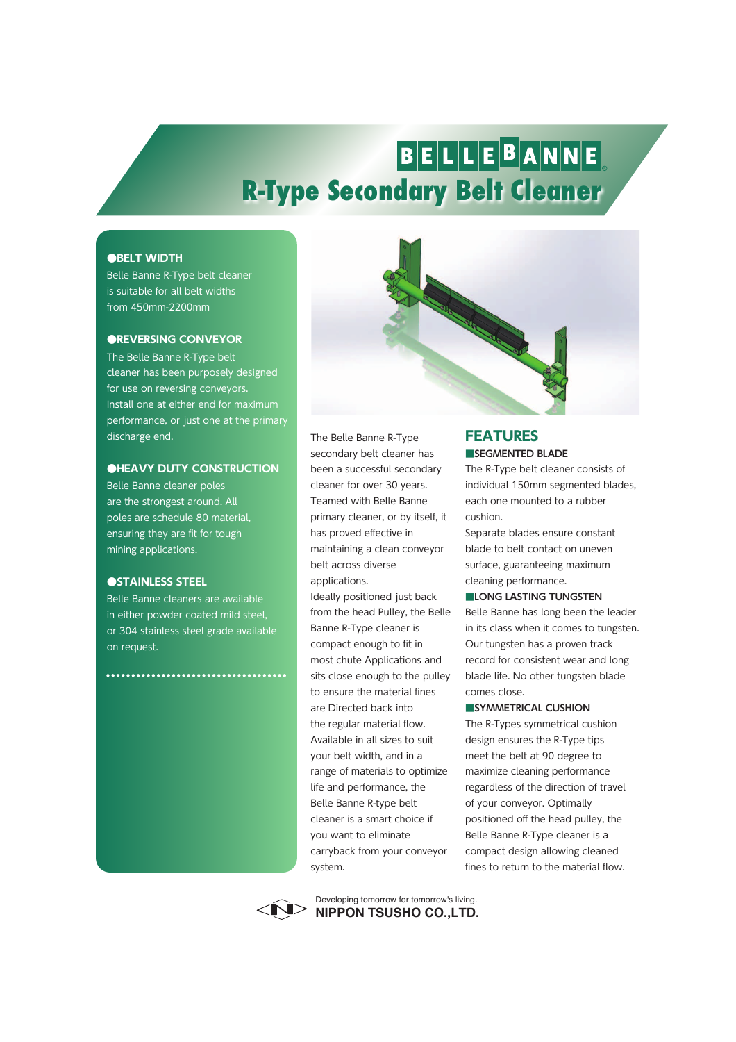# BELLEBANNE **R-Type Secondary Belt Cleaner**

#### **●BELT WIDTH**

Belle Banne R-Type belt cleaner is suitable for all belt widths from 450mm-2200mm

#### **●REVERSING CONVEYOR**

The Belle Banne R-Type belt cleaner has been purposely designed for use on reversing conveyors. Install one at either end for maximum performance, or just one at the primary discharge end.

#### **●HEAVY DUTY CONSTRUCTION**

Belle Banne cleaner poles are the strongest around. All poles are schedule 80 material, ensuring they are fit for tough mining applications.

#### **●STAINLESS STEEL**

Belle Banne cleaners are available in either powder coated mild steel, or 304 stainless steel grade available on request.

...............................



The Belle Banne R-Type secondary belt cleaner has been a successful secondary cleaner for over 30 years. Teamed with Belle Banne primary cleaner, or by itself, it has proved effective in maintaining a clean conveyor belt across diverse applications.

Ideally positioned just back from the head Pulley, the Belle Banne R-Type cleaner is compact enough to fit in most chute Applications and sits close enough to the pulley to ensure the material fines are Directed back into the regular material flow. Available in all sizes to suit your belt width, and in a range of materials to optimize life and performance, the Belle Banne R-type belt cleaner is a smart choice if you want to eliminate carryback from your conveyor system.

### **FEATURES**

**■SEGMENTED BLADE** The R-Type belt cleaner consists of individual 150mm segmented blades, each one mounted to a rubber cushion.

Separate blades ensure constant blade to belt contact on uneven surface, guaranteeing maximum cleaning performance.

**■LONG LASTING TUNGSTEN** Belle Banne has long been the leader in its class when it comes to tungsten. Our tungsten has a proven track record for consistent wear and long blade life. No other tungsten blade

#### comes close. **■SYMMETRICAL CUSHION**

The R-Types symmetrical cushion design ensures the R-Type tips meet the belt at 90 degree to maximize cleaning performance regardless of the direction of travel of your conveyor. Optimally positioned off the head pulley, the Belle Banne R-Type cleaner is a compact design allowing cleaned fines to return to the material flow.



**NIPPON TSUSHO CO.,LTD.** Developing tomorrow for tomorrow's living.